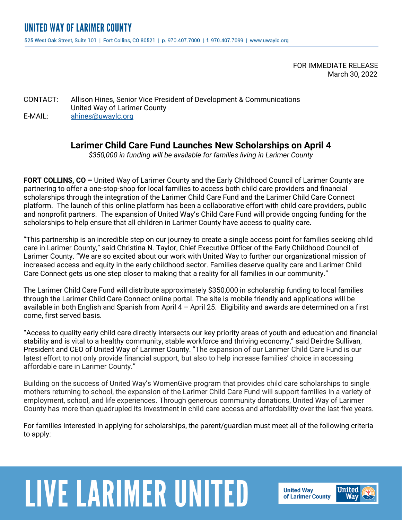FOR IMMEDIATE RELEASE March 30, 2022

CONTACT: Allison Hines, Senior Vice President of Development & Communications United Way of Larimer County E-MAIL: [ahines@uwaylc.org](mailto:ahines@uwaylc.org)

## **Larimer Child Care Fund Launches New Scholarships on April 4**

*\$350,000 in funding will be available for families living in Larimer County*

**FORT COLLINS, CO –** United Way of Larimer County and the Early Childhood Council of Larimer County are partnering to offer a one-stop-shop for local families to access both child care providers and financial scholarships through the integration of the Larimer Child Care Fund and the Larimer Child Care Connect platform. The launch of this online platform has been a collaborative effort with child care providers, public and nonprofit partners. The expansion of United Way's Child Care Fund will provide ongoing funding for the scholarships to help ensure that all children in Larimer County have access to quality care.

"This partnership is an incredible step on our journey to create a single access point for families seeking child care in Larimer County," said Christina N. Taylor, Chief Executive Officer of the Early Childhood Council of Larimer County. "We are so excited about our work with United Way to further our organizational mission of increased access and equity in the early childhood sector. Families deserve quality care and Larimer Child Care Connect gets us one step closer to making that a reality for all families in our community."

The Larimer Child Care Fund will distribute approximately \$350,000 in scholarship funding to local families through the Larimer Child Care Connect online portal. The site is mobile friendly and applications will be available in both English and Spanish from April 4 – April 25. Eligibility and awards are determined on a first come, first served basis.

"Access to quality early child care directly intersects our key priority areas of youth and education and financial stability and is vital to a healthy community, stable workforce and thriving economy," said Deirdre Sullivan, President and CEO of United Way of Larimer County. "The expansion of our Larimer Child Care Fund is our latest effort to not only provide financial support, but also to help increase families' choice in accessing affordable care in Larimer County."

Building on the success of United Way's WomenGive program that provides child care scholarships to single mothers returning to school, the expansion of the Larimer Child Care Fund will support families in a variety of employment, school, and life experiences. Through generous community donations, United Way of Larimer County has more than quadrupled its investment in child care access and affordability over the last five years.

For families interested in applying for scholarships, the parent/guardian must meet all of the following criteria to apply:

## **LIVE LARIMER UNITED**

**United Way** of Larimer County